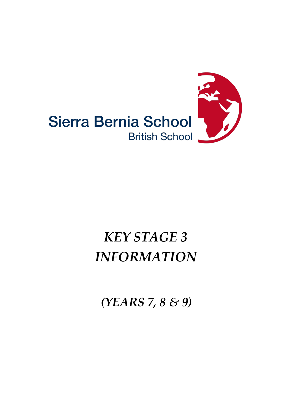

# *KEY STAGE 3 INFORMATION*

*(YEARS 7, 8 & 9)*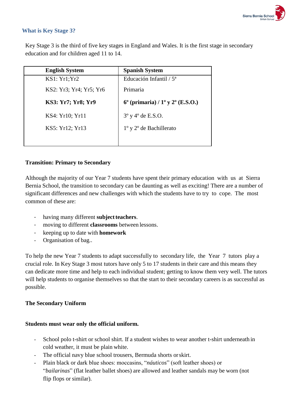

### **What is Key Stage 3?**

Key Stage 3 is the third of five key stages in England and Wales. It is the first stage in secondary education and for children aged 11 to 14.

| <b>English System</b>   | <b>Spanish System</b>                                       |
|-------------------------|-------------------------------------------------------------|
| KS1: Yr1; Yr2           | Educación Infantil / $5^a$                                  |
| KS2: Yr3; Yr4; Yr5; Yr6 | Primaria                                                    |
| KS3: Yr7; Yr8; Yr9      | $6^{\circ}$ (primaria) / $1^{\circ}$ y $2^{\circ}$ (E.S.O.) |
| KS4: Yr10; Yr11         | $3^{\circ}$ y 4 $^{\circ}$ de E.S.O.                        |
| KS5: Yr12; Yr13         | $1^{\circ}$ y $2^{\circ}$ de Bachillerato                   |
|                         |                                                             |

### **Transition: Primary to Secondary**

Although the majority of our Year 7 students have spent their primary education with us at Sierra Bernia School, the transition to secondary can be daunting as well as exciting! There are a number of significant differences and new challenges with which the students have to try to cope. The most common of these are:

- having many different **subject teachers**.
- moving to different **classrooms** between lessons.
- keeping up to date with **homework**
- Organisation of bag..

To help the new Year 7 students to adapt successfully to secondary life, the Year 7 tutors play a crucial role. In Key Stage 3 most tutors have only 5 to 17 students in their care and this means they can dedicate more time and help to each individual student; getting to know them very well. The tutors will help students to organise themselves so that the start to their secondary careers is as successful as possible.

### **The Secondary Uniform**

### **Students must wear only the official uniform.**

- School polo t-shirt or school shirt. If a student wishes to wear another t-shirt underneath in cold weather, it must be plain white.
- The official navy blue school trousers, Bermuda shorts or skirt.
- Plain black or dark blue shoes: moccasins, "*náuticos*" (soft leather shoes) or "*bailarinas*" (flat leather ballet shoes) are allowed and leather sandals may be worn (not flip flops or similar).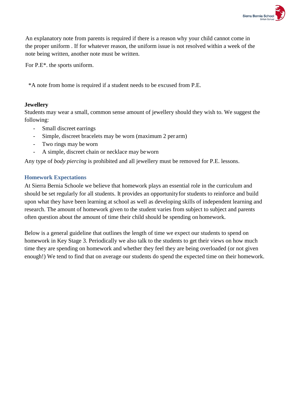

An explanatory note from parents is required if there is a reason why your child cannot come in the proper uniform . If for whatever reason, the uniform issue is not resolved within a week of the note being written, another note must be written.

For P.E\*. the sports uniform.

\*A note from home is required if a student needs to be excused from P.E.

### **Jewellery**

Students may wear a small, common sense amount of jewellery should they wish to. We suggest the following:

- Small discreet earrings
- Simple, discreet bracelets may be worn (maximum 2 per arm)
- Two rings may be worn
- A simple, discreet chain or necklace may beworn

Any type of *body piercing* is prohibited and all jewellery must be removed for P.E. lessons.

### **Homework Expectations**

At Sierra Bernia Schoole we believe that homework plays an essential role in the curriculum and should be set regularly for all students. It provides an opportunityfor students to reinforce and build upon what they have been learning at school as well as developing skills of independent learning and research. The amount of homework given to the student varies from subject to subject and parents often question about the amount of time their child should be spending on homework.

Below is a general guideline that outlines the length of time we expect our students to spend on homework in Key Stage 3. Periodically we also talk to the students to get their views on how much time they are spending on homework and whether they feel they are being overloaded (or not given enough!) We tend to find that on average our students do spend the expected time on their homework.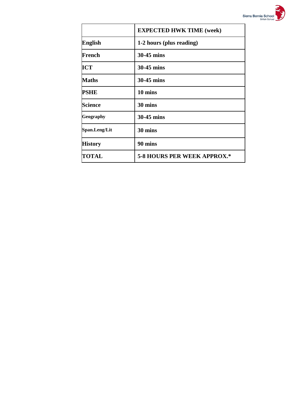

|                | <b>EXPECTED HWK TIME (week)</b>    |  |  |
|----------------|------------------------------------|--|--|
| <b>English</b> | 1-2 hours (plus reading)           |  |  |
| French         | 30-45 mins                         |  |  |
| <b>ICT</b>     | 30-45 mins                         |  |  |
| <b>Maths</b>   | 30-45 mins                         |  |  |
| PSHE           | 10 mins                            |  |  |
| <b>Science</b> | 30 mins                            |  |  |
| Geography      | 30-45 mins                         |  |  |
| Span.Leng/Lit  | 30 mins                            |  |  |
| <b>History</b> | 90 mins                            |  |  |
| <b>TOTAL</b>   | <b>5-8 HOURS PER WEEK APPROX.*</b> |  |  |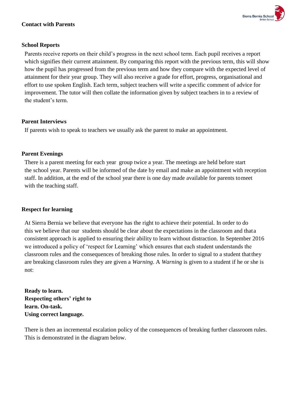

### **Contact with Parents**

### **School Reports**

Parents receive reports on their child's progress in the next school term. Each pupil receives a report which signifies their current attainment. By comparing this report with the previous term, this will show how the pupil has progressed from the previous term and how they compare with the expected level of attainment for their year group. They will also receive a grade for effort, progress, organisational and effort to use spoken English. Each term, subject teachers will write a specific comment of advice for improvement. The tutor will then collate the information given by subject teachers in to a review of the student's term.

#### **Parent Interviews**

If parents wish to speak to teachers we usually ask the parent to make an appointment.

#### **Parent Evenings**

There is a parent meeting for each year group twice a year. The meetings are held before start the school year. Parents will be informed of the date by email and make an appointment with reception staff. In addition, at the end of the school year there is one day made available for parents tomeet with the teaching staff.

#### **Respect for learning**

At Sierra Bernia we believe that everyone has the right to achieve their potential. In order to do this we believe that our students should be clear about the expectations in the classroom and thata consistent approach is applied to ensuring their ability to learn without distraction. In September 2016 we introduced a policy of 'respect for Learning' which ensures that each student understands the classroom rules and the consequences of breaking those rules. In order to signal to a student thatthey are breaking classroom rules they are given a *Warning*. A *Warning* is given to a student if he or she is not:

**Ready to learn. Respecting others' right to learn. On-task. Using correct language.**

There is then an incremental escalation policy of the consequences of breaking further classroom rules. This is demonstrated in the diagram below.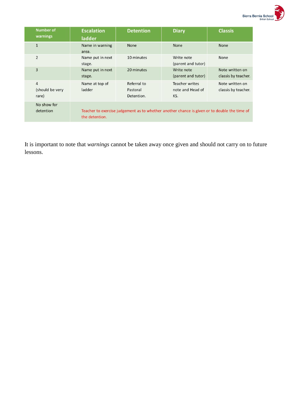

| <b>Number of</b><br>warnings               | <b>Escalation</b><br>ladder | <b>Detention</b>                      | <b>Diary</b>                                                                                 | <b>Classis</b>                         |
|--------------------------------------------|-----------------------------|---------------------------------------|----------------------------------------------------------------------------------------------|----------------------------------------|
| $\mathbf{1}$                               | Name in warning<br>area.    | <b>None</b>                           | <b>None</b>                                                                                  | <b>None</b>                            |
| $\overline{2}$                             | Name put in next<br>stage.  | 10 minutes                            | Write note<br>(parent and tutor)                                                             | None                                   |
| 3                                          | Name put in next<br>stage.  | 20 minutes                            | Write note<br>(parent and tutor)                                                             | Note written on<br>classis by teacher. |
| $\overline{4}$<br>(should be very<br>rare) | Name at top of<br>ladder    | Referral to<br>Pastoral<br>Detention. | Teacher writes<br>note and Head of<br>KS.                                                    | Note written on<br>classis by teacher. |
| No show for<br>detention                   | the detention.              |                                       | Teacher to exercise judgement as to whether another chance is given or to double the time of |                                        |

It is important to note that *warnings* cannot be taken away once given and should not carry on to future lessons.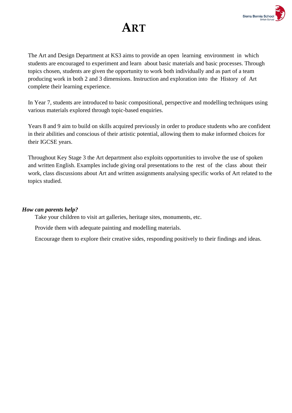

## **ART**

The Art and Design Department at KS3 aims to provide an open learning environment in which students are encouraged to experiment and learn about basic materials and basic processes. Through topics chosen, students are given the opportunity to work both individually and as part of a team producing work in both 2 and 3 dimensions. Instruction and exploration into the History of Art complete their learning experience.

In Year 7, students are introduced to basic compositional, perspective and modelling techniques using various materials explored through topic-based enquiries.

Years 8 and 9 aim to build on skills acquired previously in order to produce students who are confident in their abilities and conscious of their artistic potential, allowing them to make informed choices for their IGCSE years.

Throughout Key Stage 3 the Art department also exploits opportunities to involve the use of spoken and written English. Examples include giving oral presentations to the rest of the class about their work, class discussions about Art and written assignments analysing specific works of Art related to the topics studied.

### *How can parents help?*

Take your children to visit art galleries, heritage sites, monuments, etc.

Provide them with adequate painting and modelling materials.

Encourage them to explore their creative sides, responding positively to their findings and ideas.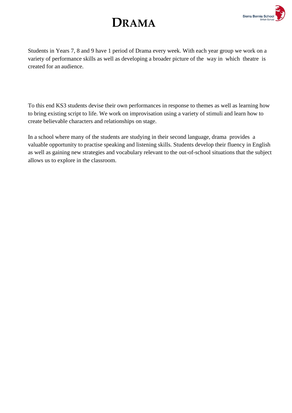



Students in Years 7, 8 and 9 have 1 period of Drama every week. With each year group we work on a variety of performance skills as well as developing a broader picture of the way in which theatre is created for an audience.

To this end KS3 students devise their own performances in response to themes as well as learning how to bring existing script to life. We work on improvisation using a variety of stimuli and learn how to create believable characters and relationships on stage.

In a school where many of the students are studying in their second language, drama provides a valuable opportunity to practise speaking and listening skills. Students develop their fluency in English as well as gaining new strategies and vocabulary relevant to the out-of-school situations that the subject allows us to explore in the classroom.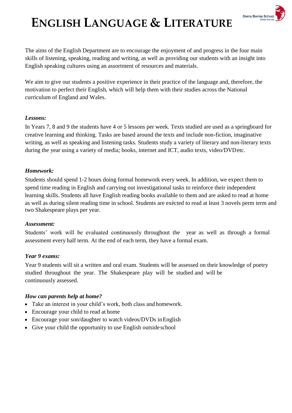

# **ENGLISH LANGUAGE & LITERATURE**

The aims of the English Department are to encourage the enjoyment of and progress in the four main skills of listening, speaking, reading and writing, as well as providing our students with an insight into English speaking cultures using an assortment of resources and materials.

We aim to give our students a positive experience in their practice of the language and, therefore, the motivation to perfect their English, which will help them with their studies across the National curriculum of England and Wales.

### *Lessons:*

In Years 7, 8 and 9 the students have 4 or 5 lessons per week. Texts studied are used as a springboard for creative learning and thinking. Tasks are based around the texts and include non-fiction, imaginative writing, as well as speaking and listening tasks. Students study a variety of literary and non-literary texts during the year using a variety of media; books, internet and ICT, audio texts, video/DVDetc.

### *Homework:*

Students should spend 1-2 hours doing formal homework every week. In addition, we expect them to spend time reading in English and carrying out investigational tasks to reinforce their independent learning skills. Students all have English reading books available to them and are asked to read at home as well as during silent reading time in school. Students are exècted to read at least 3 novels perm term and two Shakespeare plays per year.

### *Assessment:*

Students' work will be evaluated continuously throughout the year as well as through a formal assessment every half term. At the end of each term, they have a formal exam.

### *Year 9 exams:*

Year 9 students will sit a written and oral exam. Students will be assessed on their knowledge of poetry studied throughout the year. The Shakespeare play will be studied and will be continuously assessed.

### *How can parents help at home?*

- Take an interest in your child's work, both class and homework.
- Encourage your child to read at home
- Encourage your son/daughter to watch videos/DVDs in English
- Give your child the opportunity to use English outside school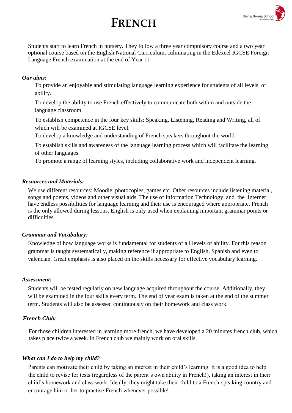## **FRENCH**



Students start to learn French in nursery. They follow a three year compulsory course and a two year optional course based on the English National Curriculum, culminating in the Edexcel IGCSE Foreign Language French examination at the end of Year 11.

### *Our aims:*

To provide an enjoyable and stimulating language learning experience for students of all levels of ability.

To develop the ability to use French effectively to communicate both within and outside the language classroom.

To establish competence in the four key skills: Speaking, Listening, Reading and Writing, all of which will be examined at IGCSE level.

To develop a knowledge and understanding of French speakers throughout the world.

To establish skills and awareness of the language learning process which will facilitate the learning of other languages.

To promote a range of learning styles, including collaborative work and independent learning.

### *Resources and Materials:*

We use different resources: Moodle, photocopies, games etc. Other resources include listening material, songs and poems, videos and other visual aids. The use of Information Technology and the Internet have endless possibilities for language learning and their use is encouraged where appropriate. French is the only allowed during lessons. English is only used when explaining important grammar points or difficulties.

### *Grammar and Vocabulary:*

Knowledge of how language works is fundamental for students of all levels of ability. For this reason grammar is taught systematically, making reference if appropriate to English, Spanish and even to valencian. Great emphasis is also placed on the skills necessary for effective vocabulary learning.

### *Assessment:*

Students will be tested regularly on new language acquired throughout the course. Additionally, they will be examined in the four skills every term. The end of year exam is taken at the end of the summer term. Students will also be assessed continuously on their homework and class work.

### *French Club:*

For those children interested in learning more french, we have developed a 20 minutes french club, which takes place twice a week. In French club we mainly work on oral skills.

### *What can I do to help my child?*

Parents can motivate their child by taking an interest in their child's learning. It is a good idea to help the child to revise for tests (regardless of the parent's own ability in French!), taking an interest in their child's homework and class work. Ideally, they might take their child to a French-speaking country and encourage him or her to practise French whenever possible!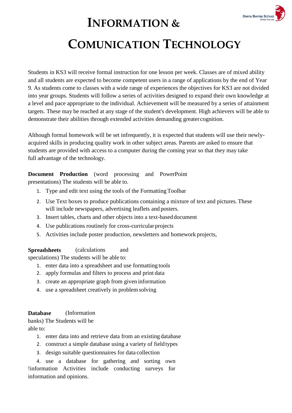

### **INFORMATION &**

## **COMUNICATION TECHNOLOGY**

Students in KS3 will receive formal instruction for one lesson per week. Classes are of mixed ability and all students are expected to become competent users in a range of applications by the end of Year 9. As students come to classes with a wide range of experiences the objectives for KS3 are not divided into year groups. Students will follow a series of activities designed to expand their own knowledge at a level and pace appropriate to the individual. Achievement will be measured by a series of attainment targets. These may be reached at any stage of the student's development. High achievers will be able to demonstrate their abilities through extended activities demanding greater cognition.

Although formal homework will be set infrequently, it is expected that students will use their newlyacquired skills in producing quality work in other subject areas. Parents are asked to ensure that students are provided with access to a computer during the coming year so that they may take full advantage of the technology.

**Document Production** (word processing and PowerPoint presentations) The students will be able to.

- 1. Type and edit text using the tools of the FormattingToolbar
- 2. Use Text boxes to produce publications containing a mixture of text and pictures. These will include newspapers, advertising leaflets and posters.
- 3. Insert tables, charts and other objects into a text-baseddocument
- 4. Use publications routinely for cross-curricularprojects
- 5. Activities include poster production, newsletters and homework projects,

**Spreadsheets** (calculations and

speculations) The students will be able to:

- 1. enter data into a spreadsheet and use formatting tools
- 2. apply formulas and filters to process and print data
- 3. create an appropriate graph from given information
- 4. use a spreadsheet creatively in problemsolving

### **Database** (Information

banks) The Students will be able to:

- 1. enter data into and retrieve data from an existing database
- 2. construct a simple database using a variety of fieldtypes
- 3. design suitable questionnaires for data collection

4. use a database for gathering and sorting own !information Activities include conducting surveys for information and opinions.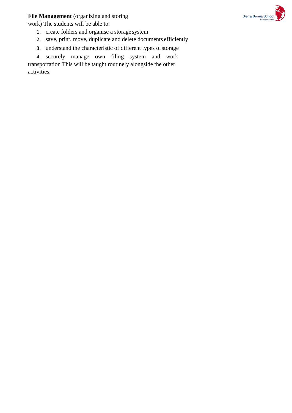**File Management** (organizing and storing

work) The students will be able to:



- 1. create folders and organise a storage system
- 2. save, print. move, duplicate and delete documents efficiently
- 3. understand the characteristic of different types of storage

4. securely manage own filing system and work transportation This will be taught routinely alongside the other activities.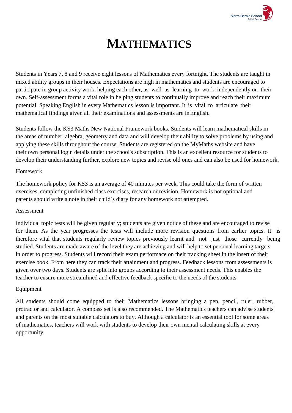

## **MATHEMATICS**

Students in Years 7, 8 and 9 receive eight lessons of Mathematics every fortnight. The students are taught in mixed ability groups in their houses. Expectations are high in mathematics and students are encouraged to participate in group activity work, helping each other, as well as learning to work independently on their own. Self-assessment forms a vital role in helping students to continually improve and reach their maximum potential. Speaking English in every Mathematics lesson is important. It is vital to articulate their mathematical findings given all their examinations and assessments are inEnglish.

Students follow the KS3 Maths New National Framework books. Students will learn mathematical skills in the areas of number, algebra, geometry and data and will develop their ability to solve problems by using and applying these skills throughout the course. Students are registered on the MyMaths website and have their own personal login details under the school's subscription. This is an excellent resource for students to develop their understanding further, explore new topics and revise old ones and can also be used for homework.

### Homework

The homework policy for KS3 is an average of 40 minutes per week. This could take the form of written exercises, completing unfinished class exercises, research or revision. Homework is not optional and parents should write a note in their child´s diary for any homework not attempted.

### Assessment

Individual topic tests will be given regularly; students are given notice of these and are encouraged to revise for them. As the year progresses the tests will include more revision questions from earlier topics. It is therefore vital that students regularly review topics previously learnt and not just those currently being studied. Students are made aware of the level they are achieving and will help to set personal learning targets in order to progress. Students will record their exam performace on their tracking sheet in the insert of their exercise book. From here they can track their attainment and progress. Feedback lessons from assessments is given over two days. Students are split into groups according to their assessment needs. This enables the teacher to ensure more streamlined and effective feedback specific to the needs of the students.

### Equipment

All students should come equipped to their Mathematics lessons bringing a pen, pencil, ruler, rubber, protractor and calculator. A compass set is also recommended. The Mathematics teachers can advise students and parents on the most suitable calculators to buy. Although a calculator is an essential tool for some areas of mathematics, teachers will work with students to develop their own mental calculating skills at every opportunity.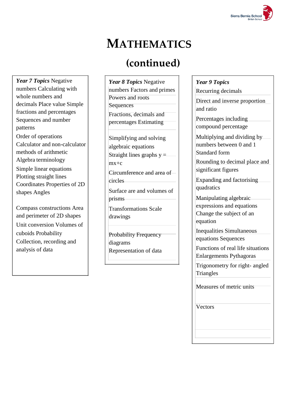

## **MATHEMATICS**

### **(continued)**

*Year 7 Topics* Negative numbers Calculating with whole numbers and decimals Place value Simple fractions and percentages Sequences and number patterns Order of operations Calculator and non-calculator methods of arithmetic Algebra terminology Simple linear equations Plotting straight lines Coordinates Properties of 2D shapes Angles

Compass constructions Area and perimeter of 2D shapes Unit conversion Volumes of cuboids Probability Collection, recording and analysis of data

*Year 8 Topics* Negative numbers Factors and primes Powers and roots **Sequences** Fractions, decimals and percentages Estimating Simplifying and solving algebraic equations Straight lines graphs  $y =$ mx+c Circumference and area of circles Surface are and volumes of prisms Transformations Scale drawings Probability Frequency diagrams

Representation of data

*Year 9 Topics* Recurring decimals

Direct and inverse proportion and ratio

Percentages including compound percentage

Multiplying and dividing by numbers between 0 and 1 Standard form

Rounding to decimal place and significant figures

Expanding and factorising quadratics

Manipulating algebraic expressions and equations

Change the subject of an equation

Inequalities Simultaneous equations Sequences

Functions of real life situations Enlargements Pythagoras

Trigonometry for right- angled **Triangles** 

Measures of metric units

**Vectors**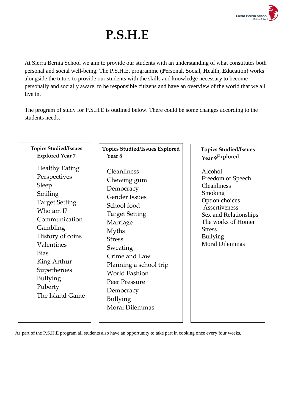

# **P.S.H.E**

At Sierra Bernia School we aim to provide our students with an understanding of what constitutes both personal and social well-being. The P.S.H.E. programme (**P**ersonal, **S**ocial, **H**ealth, **E**ducation) works alongside the tutors to provide our students with the skills and knowledge necessary to become personally and socially aware, to be responsible citizens and have an overview of the world that we all live in.

The program of study for P.S.H.E is outlined below. There could be some changes according to the students needs.

| <b>Topics Studied/Issues</b>                                                                                                                                                                                                                                 | <b>Topics Studied/Issues Explored</b>                                                                                                                                                                                                                                                                         | <b>Topics Studied/Issues</b>                                                                                                                                                                                 |
|--------------------------------------------------------------------------------------------------------------------------------------------------------------------------------------------------------------------------------------------------------------|---------------------------------------------------------------------------------------------------------------------------------------------------------------------------------------------------------------------------------------------------------------------------------------------------------------|--------------------------------------------------------------------------------------------------------------------------------------------------------------------------------------------------------------|
| <b>Explored Year 7</b>                                                                                                                                                                                                                                       | Year <sub>8</sub>                                                                                                                                                                                                                                                                                             | Year 9Explored                                                                                                                                                                                               |
| <b>Healthy Eating</b><br>Perspectives<br>Sleep<br>Smiling<br><b>Target Setting</b><br>Who am I?<br>Communication<br>Gambling<br>History of coins<br>Valentines<br><b>Bias</b><br>King Arthur<br>Superheroes<br><b>Bullying</b><br>Puberty<br>The Island Game | Cleanliness<br>Chewing gum<br>Democracy<br><b>Gender Issues</b><br>School food<br><b>Target Setting</b><br>Marriage<br><b>Myths</b><br><b>Stress</b><br>Sweating<br>Crime and Law<br>Planning a school trip<br><b>World Fashion</b><br>Peer Pressure<br>Democracy<br><b>Bullying</b><br><b>Moral Dilemmas</b> | Alcohol<br>Freedom of Speech<br><b>Cleanliness</b><br>Smoking<br>Option choices<br>Assertiveness<br>Sex and Relationships<br>The works of Homer<br><b>Stress</b><br><b>Bullying</b><br><b>Moral Dilemmas</b> |

As part of the P.S.H.E program all students also have an opportunity to take part in cooking once every four weeks.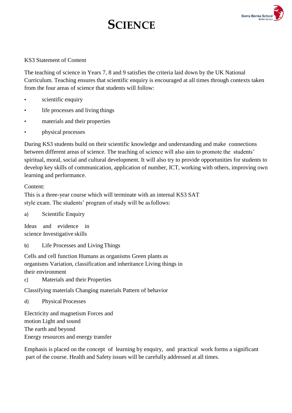# **SCIENCE**



### KS3 Statement of Content

The teaching of science in Years 7, 8 and 9 satisfies the criteria laid down by the UK National Curriculum. Teaching ensures that scientific enquiry is encouraged at all times through contexts taken from the four areas of science that students will follow:

- scientific enquiry
- life processes and living things
- materials and their properties
- physical processes

During KS3 students build on their scientific knowledge and understanding and make connections between different areas of science. The teaching of science will also aim to promote the students' spiritual, moral, social and cultural development. It will also try to provide opportunities for students to develop key skills of communication, application of number, ICT, working with others, improving own learning and performance.

### Content:

This is a three-year course which will terminate with an internal KS3 SAT style exam. The students' program of study will be asfollows:

a) Scientific Enquiry

Ideas and evidence in science Investigative skills

b) Life Processes and LivingThings

Cells and cell function Humans as organisms Green plants as organisms Variation, classification and inheritance Living things in their environment

c) Materials and their Properties

Classifying materials Changing materials Pattern of behavior

d) Physical Processes

Electricity and magnetism Forces and motion Light and sound The earth and beyond Energy resources and energy transfer

Emphasis is placed on the concept of learning by enquiry, and practical work forms a significant part of the course. Health and Safety issues will be carefully addressed at all times.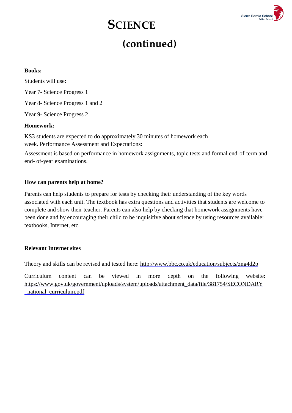# **SCIENCE**



### **(continued)**

### **Books:**

Students will use: Year 7- Science Progress 1 Year 8- Science Progress 1 and 2 Year 9- Science Progress 2

### **Homework:**

KS3 students are expected to do approximately 30 minutes of homework each week. Performance Assessment and Expectations:

Assessment is based on performance in homework assignments, topic tests and formal end-of-term and end- of-year examinations.

### **How can parents help at home?**

Parents can help students to prepare for tests by checking their understanding of the key words associated with each unit. The textbook has extra questions and activities that students are welcome to complete and show their teacher. Parents can also help by checking that homework assignments have been done and by encouraging their child to be inquisitive about science by using resources available: textbooks, Internet, etc.

### **Relevant Internet sites**

Theory and skills can be revised and tested here:<http://www.bbc.co.uk/education/subjects/zng4d2p>

Curriculum content can be viewed in more depth on the following website: https:/[/www.gov.uk/government/uploads/system/uploads/attachment\\_data/file/381754/SECONDARY](http://www.gov.uk/government/uploads/system/uploads/attachment_data/file/381754/SECONDARY) \_national\_curriculum.pdf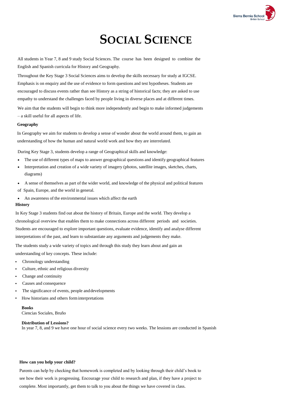

### **SOCIAL SCIENCE**

All students in Year 7, 8 and 9 study Social Sciences. The course has been designed to combine the English and Spanish curricula for History and Geography.

Throughout the Key Stage 3 Social Sciences aims to develop the skills necessary for study at IGCSE. Emphasis is on enquiry and the use of evidence to form questions and test hypotheses. Students are encouraged to discuss events rather than see History as a string of historical facts; they are asked to use empathy to understand the challenges faced by people living in diverse places and at different times.

We aim that the students will begin to think more independently and begin to make informed judgements – a skill useful for all aspects of life.

#### **Geography**

In Geography we aim for students to develop a sense of wonder about the world around them, to gain an understanding of how the human and natural world work and how they are interrelated.

During Key Stage 3, students develop a range of Geographical skills and knowledge:

- The use of different types of maps to answer geographical questions and identify geographical features
- Interpretation and creation of a wide variety of imagery (photos, satellite images, sketches, charts, diagrams)
- A sense of themselves as part of the wider world, and knowledge of the physical and political features of Spain, Europe, and the world in general.
- An awareness of the environmental issues which affect the earth

#### **History**

In Key Stage 3 students find out about the history of Britain, Europe and the world. They develop a chronological overview that enables them to make connections across different periods and societies. Students are encouraged to explore important questions, evaluate evidence, identify and analyse different interpretations of the past, and learn to substantiate any arguments and judgements they make.

The students study a wide variety of topics and through this study they learn about and gain an understanding of key concepts. These include:

- Chronology understanding
- Culture, ethnic and religious diversity
- Change and continuity
- Causes and consequence
- The significance of events, people and developments
- How historians and others forminterpretations

#### **Books**

Ciencias Sociales, Bruño

#### **Distribution of Lessions?**

In year 7, 8, and 9 we have one hour of social science every two weeks. The lessions are conducted in Spanish

#### **How can you help your child?**

Parents can help by checking that homework is completed and by looking through their child's book to see how their work is progressing. Encourage your child to research and plan, if they have a project to complete. Most importantly, get them to talk to you about the things we have covered in class.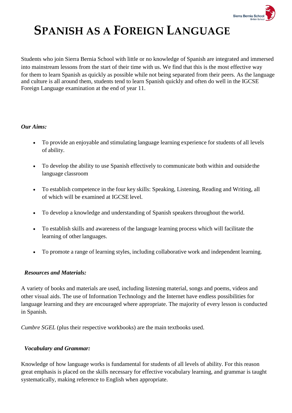

### **SPANISH AS A FOREIGN LANGUAGE**

Students who join Sierra Bernia School with little or no knowledge of Spanish are integrated and immersed into mainstream lessons from the start of their time with us. We find that this is the most effective way for them to learn Spanish as quickly as possible while not being separated from their peers. As the language and culture is all around them, students tend to learn Spanish quickly and often do well in the IGCSE Foreign Language examination at the end of year 11.

### *Our Aims:*

- To provide an enjoyable and stimulating language learning experience for students of all levels of ability.
- To develop the ability to use Spanish effectively to communicate both within and outsidethe language classroom
- To establish competence in the four key skills: Speaking, Listening, Reading and Writing, all of which will be examined at IGCSE level.
- To develop a knowledge and understanding of Spanish speakers throughout theworld.
- To establish skills and awareness of the language learning process which will facilitate the learning of other languages.
- To promote a range of learning styles, including collaborative work and independent learning.

### *Resources and Materials:*

A variety of books and materials are used, including listening material, songs and poems, videos and other visual aids. The use of Information Technology and the Internet have endless possibilities for language learning and they are encouraged where appropriate. The majority of every lesson is conducted in Spanish.

*Cumbre SGEL* (plus their respective workbooks) are the main textbooks used.

### *Vocabulary and Grammar:*

Knowledge of how language works is fundamental for students of all levels of ability. For this reason great emphasis is placed on the skills necessary for effective vocabulary learning, and grammar is taught systematically, making reference to English when appropriate.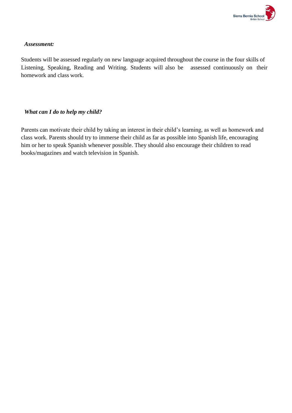

### *Assessment:*

Students will be assessed regularly on new language acquired throughout the course in the four skills of Listening, Speaking, Reading and Writing. Students will also be assessed continuously on their homework and class work.

### *What can I do to help my child?*

Parents can motivate their child by taking an interest in their child's learning, as well as homework and class work. Parents should try to immerse their child as far as possible into Spanish life, encouraging him or her to speak Spanish whenever possible. They should also encourage their children to read books/magazines and watch television in Spanish.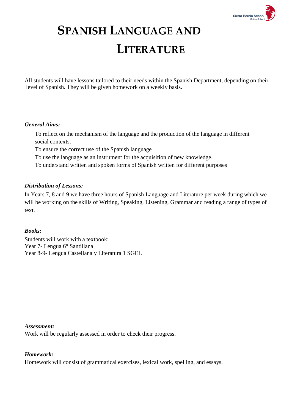

# **SPANISH LANGUAGE AND LITERATURE**

All students will have lessons tailored to their needs within the Spanish Department, depending on their level of Spanish. They will be given homework on a weekly basis.

### *General Aims:*

To reflect on the mechanism of the language and the production of the language in different social contexts.

To ensure the correct use of the Spanish language

To use the language as an instrument for the acquisition of new knowledge.

To understand written and spoken forms of Spanish written for different purposes

### *Distribution of Lessons:*

In Years 7, 8 and 9 we have three hours of Spanish Language and Literature per week during which we will be working on the skills of Writing, Speaking, Listening, Grammar and reading a range of types of text.

### *Books:*

Students will work with a textbook: Year 7- Lengua 6° Santillana Year 8-9- Lengua Castellana y Literatura 1 SGEL

### *Assessment:*

Work will be regularly assessed in order to check their progress.

### *Homework:*

Homework will consist of grammatical exercises, lexical work, spelling, and essays.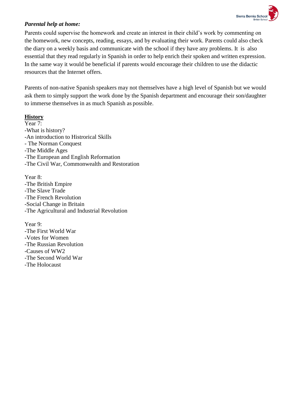

### *Parental help at home:*

Parents could supervise the homework and create an interest in their child's work by commenting on the homework, new concepts, reading, essays, and by evaluating their work. Parents could also check the diary on a weekly basis and communicate with the school if they have any problems. It is also essential that they read regularly in Spanish in order to help enrich their spoken and written expression. In the same way it would be beneficial if parents would encourage their children to use the didactic resources that the Internet offers.

Parents of non-native Spanish speakers may not themselves have a high level of Spanish but we would ask them to simply support the work done by the Spanish department and encourage their son/daughter to immerse themselves in as much Spanish as possible.

### **History**

Year 7: -What is history? -An introduction to Histrorical Skills - The Norman Conquest -The Middle Ages -The European and English Reformation -The Civil War, Commonwealth and Restoration

Year 8: -The British Empire -The Slave Trade -The French Revolution -Social Change in Britain -The Agricultural and Industrial Revolution

Year 9: -The First World War -Votes for Women -The Russian Revolution -Causes of WW2 -The Second World War -The Holocaust